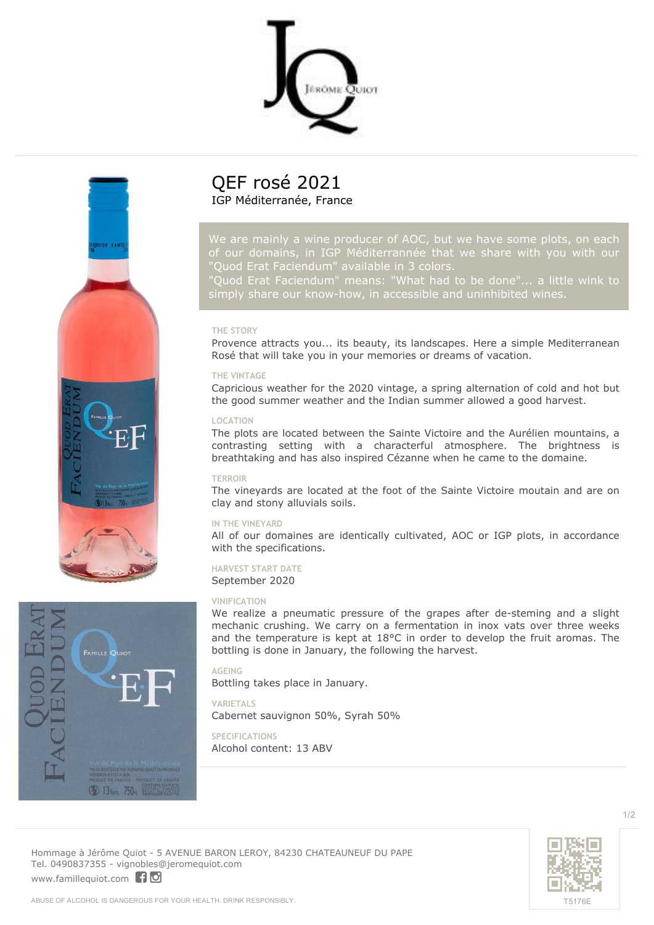



*of our domains, in IGP Méditerrannée that we share with you with our "Quod Erat Faciendum" available in 3 colors.*

*"Quod Erat Faciendum" means: "What had to be done"... a little wink to*

# **THE STORY**

Provence attracts you... its beauty, its landscapes. Here a simple Mediterranean Rosé that will take you in your memories or dreams of vacation.

### **THE VINTAGE**

Capricious weather for the 2020 vintage, a spring alternation of cold and hot but the good summer weather and the Indian summer allowed a good harvest.

### **LOCATION**

The plots are located between the Sainte Victoire and the Aurélien mountains, a contrasting setting with a characterful atmosphere. The brightness is breathtaking and has also inspired Cézanne when he came to the domaine.

### **TERROIR**

The vineyards are located at the foot of the Sainte Victoire moutain and are on clay and stony alluvials soils.

### **IN THE VINEYARD**

All of our domaines are identically cultivated, AOC or IGP plots, in accordance with the specifications.

### **HARVEST START DATE** September 2020

#### **VINIFICATION**

We realize a pneumatic pressure of the grapes after de-steming and a slight mechanic crushing. We carry on a fermentation in inox vats over three weeks and the temperature is kept at 18°C in order to develop the fruit aromas. The bottling is done in January, the following the harvest.

### **AGEING**

Bottling takes place in January.

# **VARIETALS** Cabernet sauvignon 50%, Syrah 50%

**SPECIFICATIONS** Alcohol content: 13 ABV





**Hommage à Jérôme Quiot** - 5 AVENUE BARON LEROY, 84230 CHATEAUNEUF DU PAPE Tel. 0490837355 - vignobles@jeromequiot.com <www.famillequiot.com>

1/2